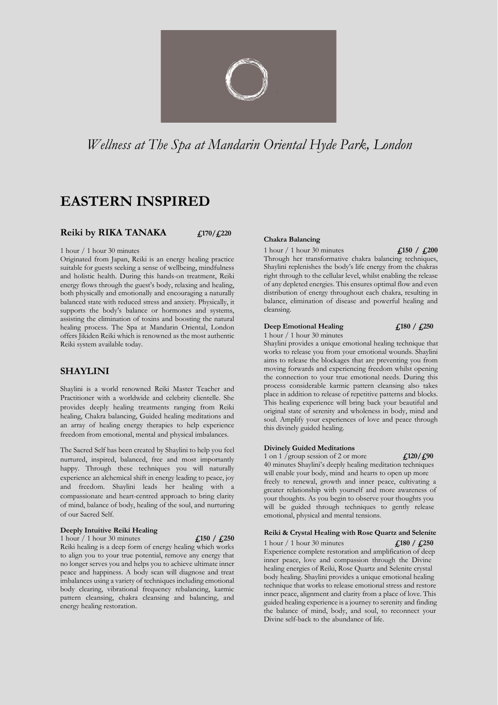

# *Wellness at The Spa at Mandarin Oriental Hyde Park, London*

# **EASTERN INSPIRED**

### **Reiki by RIKA TANAKA £170/£220**

1 hour / 1 hour 30 minutes

Originated from Japan, Reiki is an energy healing practice suitable for guests seeking a sense of wellbeing, mindfulness and holistic health. During this hands-on treatment, Reiki energy flows through the guest's body, relaxing and healing, both physically and emotionally and encouraging a naturally balanced state with reduced stress and anxiety. Physically, it supports the body's balance or hormones and systems, assisting the elimination of toxins and boosting the natural healing process. The Spa at Mandarin Oriental, London offers Jikiden Reiki which is renowned as the most authentic Reiki system available today.

### **SHAYLINI**

Shaylini is a world renowned Reiki Master Teacher and Practitioner with a worldwide and celebrity clientelle. She provides deeply healing treatments ranging from Reiki healing, Chakra balancing, Guided healing meditations and an array of healing energy therapies to help experience freedom from emotional, mental and physical imbalances.

The Sacred Self has been created by Shaylini to help you feel nurtured, inspired, balanced, free and most importantly happy. Through these techniques you will naturally experience an alchemical shift in energy leading to peace, joy and freedom. Shaylini leads her healing with a compassionate and heart-centred approach to bring clarity of mind, balance of body, healing of the soul, and nurturing of our Sacred Self.

#### **Deeply Intuitive Reiki Healing**

1 hour / 1 hour 30 minutes **£150 / £250** 

Reiki healing is a deep form of energy healing which works to align you to your true potential, remove any energy that no longer serves you and helps you to achieve ultimate inner peace and happiness. A body scan will diagnose and treat imbalances using a variety of techniques including emotional body clearing, vibrational frequency rebalancing, karmic pattern cleansing, chakra cleansing and balancing, and energy healing restoration.

#### **Chakra Balancing**

1 hour / 1 hour 30 minutes **£150 / £200** 

Through her transformative chakra balancing techniques, Shaylini replenishes the body's life energy from the chakras right through to the cellular level, whilst enabling the release of any depleted energies. This ensures optimal flow and even distribution of energy throughout each chakra, resulting in balance, elimination of disease and powerful healing and cleansing.

### **Deep Emotional Healing £180 / £250**

1 hour / 1 hour 30 minutes Shaylini provides a unique emotional healing technique that works to release you from your emotional wounds. Shaylini aims to release the blockages that are preventing you from moving forwards and experiencing freedom whilst opening the connection to your true emotional needs. During this process considerable karmic pattern cleansing also takes place in addition to release of repetitive patterns and blocks. This healing experience will bring back your beautiful and original state of serenity and wholeness in body, mind and soul. Amplify your experiences of love and peace through this divinely guided healing.

#### **Divinely Guided Meditations**

1 on 1 /group session of 2 or more **£120/£90** 

40 minutes Shaylini's deeply healing meditation techniques will enable your body, mind and hearts to open up more

freely to renewal, growth and inner peace, cultivating a greater relationship with yourself and more awareness of your thoughts. As you begin to observe your thoughts you will be guided through techniques to gently release emotional, physical and mental tensions.

#### **Reiki & Crystal Healing with Rose Quartz and Selenite**

1 hour / 1 hour 30 minutes **£180 / £250**  Experience complete restoration and amplification of deep inner peace, love and compassion through the Divine healing energies of Reiki, Rose Quartz and Selenite crystal body healing. Shaylini provides a unique emotional healing technique that works to release emotional stress and restore inner peace, alignment and clarity from a place of love. This guided healing experience is a journey to serenity and finding the balance of mind, body, and soul, to reconnect your Divine self-back to the abundance of life.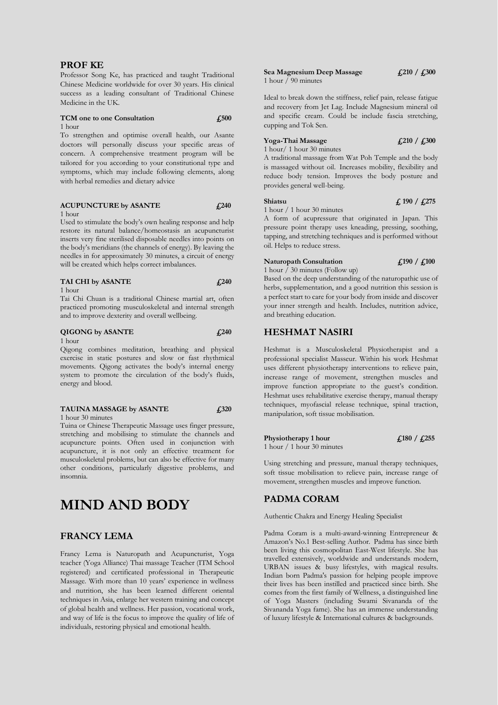### **PROF KE**

Professor Song Ke, has practiced and taught Traditional Chinese Medicine worldwide for over 30 years. His clinical success as a leading consultant of Traditional Chinese Medicine in the UK.

#### **TCM one to one Consultation £500** 1 hour

To strengthen and optimise overall health, our Asante doctors will personally discuss your specific areas of concern. A comprehensive treatment program will be tailored for you according to your constitutional type and symptoms, which may include following elements, along with herbal remedies and dietary advice

#### **ACUPUNCTURE by ASANTE £240** 1 hour

Used to stimulate the body's own healing response and help restore its natural balance/homeostasis an acupuncturist inserts very fine sterilised disposable needles into points on the body's meridians (the channels of energy). By leaving the needles in for approximately 30 minutes, a circuit of energy will be created which helps correct imbalances.

#### **TAI CHI by ASANTE £240**

#### 1 hour

Tai Chi Chuan is a traditional Chinese martial art, often practiced promoting musculoskeletal and internal strength and to improve dexterity and overall wellbeing.

#### **QIGONG by ASANTE £240**

#### 1 hour

Qigong combines meditation, breathing and physical exercise in static postures and slow or fast rhythmical movements. Qigong activates the body's internal energy system to promote the circulation of the body's fluids, energy and blood.

#### **TAUINA MASSAGE by ASANTE £320**

1 hour 30 minutes

Tuina or Chinese Therapeutic Massage uses finger pressure, stretching and mobilising to stimulate the channels and acupuncture points. Often used in conjunction with acupuncture, it is not only an effective treatment for musculoskeletal problems, but can also be effective for many other conditions, particularly digestive problems, and insomnia.

# **MIND AND BODY**

### **FRANCY LEMA**

Francy Lema is Naturopath and Acupuncturist, Yoga teacher (Yoga Alliance) Thai massage Teacher (ITM School registered) and certificated professional in Therapeutic Massage. With more than 10 years' experience in wellness and nutrition, she has been learned different oriental techniques in Asia, enlarge her western training and concept of global health and wellness. Her passion, vocational work, and way of life is the focus to improve the quality of life of individuals, restoring physical and emotional health.

#### **Sea Magnesium Deep Massage £210 / £300** 1 hour  $\overline{1}$  90 minutes

Ideal to break down the stiffness, relief pain, release fatigue and recovery from Jet Lag. Include Magnesium mineral oil and specific cream. Could be include fascia stretching, cupping and Tok Sen.

### **Yoga-Thai Massage £210 / £300**

1 hour/ 1 hour 30 minutes A traditional massage from Wat Poh Temple and the body is massaged without oil. Increases mobility, flexibility and reduce body tension. Improves the body posture and provides general well-being.

#### **Shiatsu £ 190 / £275**

1 hour / 1 hour 30 minutes

A form of acupressure that originated in Japan. This pressure point therapy uses kneading, pressing, soothing, tapping, and stretching techniques and is performed without oil. Helps to reduce stress.

## **Naturopath Consultation £190 / £100**

1 hour  $\bar{1}$  30 minutes (Follow up)

Based on the deep understanding of the naturopathic use of herbs, supplementation, and a good nutrition this session is a perfect start to care for your body from inside and discover your inner strength and health. Includes, nutrition advice, and breathing education.

### **HESHMAT NASIRI**

Heshmat is a Musculoskeletal Physiotherapist and a professional specialist Masseur. Within his work Heshmat uses different physiotherapy interventions to relieve pain, increase range of movement, strengthen muscles and improve function appropriate to the guest's condition. Heshmat uses rehabilitative exercise therapy, manual therapy techniques, myofascial release technique, spinal traction, manipulation, soft tissue mobilisation.

**Physiotherapy** 1 hour  $\qquad \qquad$  **£180** / **£255** 1 hour / 1 hour 30 minutes

Using stretching and pressure, manual therapy techniques, soft tissue mobilisation to relieve pain, increase range of movement, strengthen muscles and improve function.

### **PADMA CORAM**

Authentic Chakra and Energy Healing Specialist

Padma Coram is a multi-award-winning Entrepreneur & Amazon's No.1 Best-selling Author. Padma has since birth been living this cosmopolitan East-West lifestyle. She has travelled extensively, worldwide and understands modern, URBAN issues & busy lifestyles, with magical results. Indian born Padma's passion for helping people improve their lives has been instilled and practiced since birth. She comes from the first family of Wellness, a distinguished line of Yoga Masters (including Swami Sivananda of the Sivananda Yoga fame). She has an immense understanding of luxury lifestyle & International cultures & backgrounds.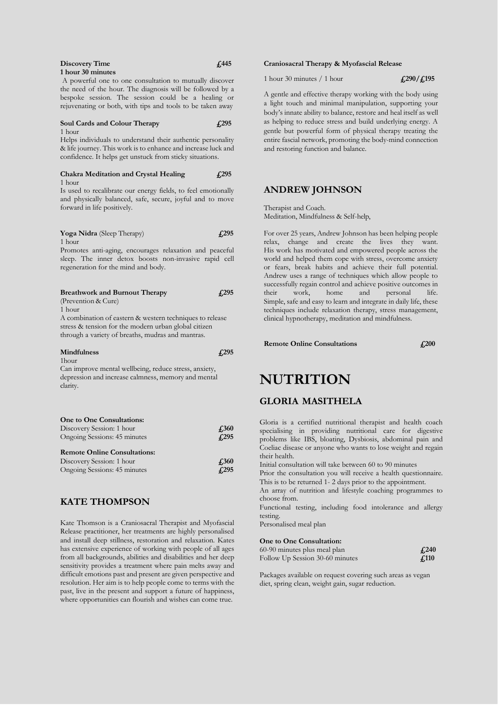| Discovery Time    |  | $\sqrt{445}$ |
|-------------------|--|--------------|
| 1 hour 30 minutes |  |              |
|                   |  |              |

A powerful one to one consultation to mutually discover the need of the hour. The diagnosis will be followed by a bespoke session. The session could be a healing or rejuvenating or both, with tips and tools to be taken away

#### **Soul Cards and Colour Therapy £295** 1 hour

Helps individuals to understand their authentic personality & life journey. This work is to enhance and increase luck and confidence. It helps get unstuck from sticky situations.

#### **Chakra Meditation and Crystal Healing £295** 1 hour

Is used to recalibrate our energy fields, to feel emotionally and physically balanced, safe, secure, joyful and to move forward in life positively.

#### **Yoga Nidra** (Sleep Therapy) **£295** 1 hour

Promotes anti-aging, encourages relaxation and peaceful sleep. The inner detox boosts non-invasive rapid cell regeneration for the mind and body.

| <b>Breathwork and Burnout Therapy</b>                                                                                                                                 |       |
|-----------------------------------------------------------------------------------------------------------------------------------------------------------------------|-------|
| (Prevention & Cure)                                                                                                                                                   |       |
| 1 hour                                                                                                                                                                |       |
| A combination of eastern & western techniques to release<br>stress & tension for the modern urban global citizen<br>through a variety of breaths, mudras and mantras. |       |
| <b>Mindfulness</b>                                                                                                                                                    | 4.295 |
| 1hour                                                                                                                                                                 |       |
| Can improve mental wellbeing, reduce stress, anxiety,                                                                                                                 |       |

depression and increase calmness, memory and mental clarity.

| One to One Consultations:<br>Discovery Session: 1 hour<br>Ongoing Sessions: 45 minutes | £360<br>f <sub>295</sub> |
|----------------------------------------------------------------------------------------|--------------------------|
| <b>Remote Online Consultations:</b>                                                    |                          |
| Discovery Session: 1 hour                                                              | £360                     |
| Ongoing Sessions: 45 minutes                                                           | £295                     |

## **KATE THOMPSON**

Kate Thomson is a Craniosacral Therapist and Myofascial Release practitioner, her treatments are highly personalised and install deep stillness, restoration and relaxation. Kates has extensive experience of working with people of all ages from all backgrounds, abilities and disabilities and her deep sensitivity provides a treatment where pain melts away and difficult emotions past and present are given perspective and resolution. Her aim is to help people come to terms with the past, live in the present and support a future of happiness, where opportunities can flourish and wishes can come true.

#### **Craniosacral Therapy & Myofascial Release**

1 hour 30 minutes / 1 hour **£290/£195**

A gentle and effective therapy working with the body using a light touch and minimal manipulation, supporting your body's innate ability to balance, restore and heal itself as well as helping to reduce stress and build underlying energy. A gentle but powerful form of physical therapy treating the entire fascial network, promoting the body-mind connection and restoring function and balance.

### **ANDREW JOHNSON**

Therapist and Coach. Meditation, Mindfulness & Self-help,

For over 25 years, Andrew Johnson has been helping people relax, change and create the lives they want. His work has motivated and empowered people across the world and helped them cope with stress, overcome anxiety or fears, break habits and achieve their full potential. Andrew uses a range of techniques which allow people to successfully regain control and achieve positive outcomes in their work, home and personal life. Simple, safe and easy to learn and integrate in daily life, these techniques include relaxation therapy, stress management, clinical hypnotherapy, meditation and mindfulness.

**Remote Online Consultations £200**

# **NUTRITION**

### **GLORIA MASITHELA**

Gloria is a certified nutritional therapist and health coach specialising in providing nutritional care for digestive problems like IBS, bloating, Dysbiosis, abdominal pain and Coeliac disease or anyone who wants to lose weight and regain their health.

Initial consultation will take between 60 to 90 minutes

Prior the consultation you will receive a health questionnaire. This is to be returned 1- 2 days prior to the appointment.

An array of nutrition and lifestyle coaching programmes to choose from.

Functional testing, including food intolerance and allergy testing.

Personalised meal plan

#### **One to One Consultation:**

| 60-90 minutes plus meal plan    | $\sqrt{4.240}$ |
|---------------------------------|----------------|
| Follow Up Session 30-60 minutes | f.110          |

Packages available on request covering such areas as vegan diet, spring clean, weight gain, sugar reduction.